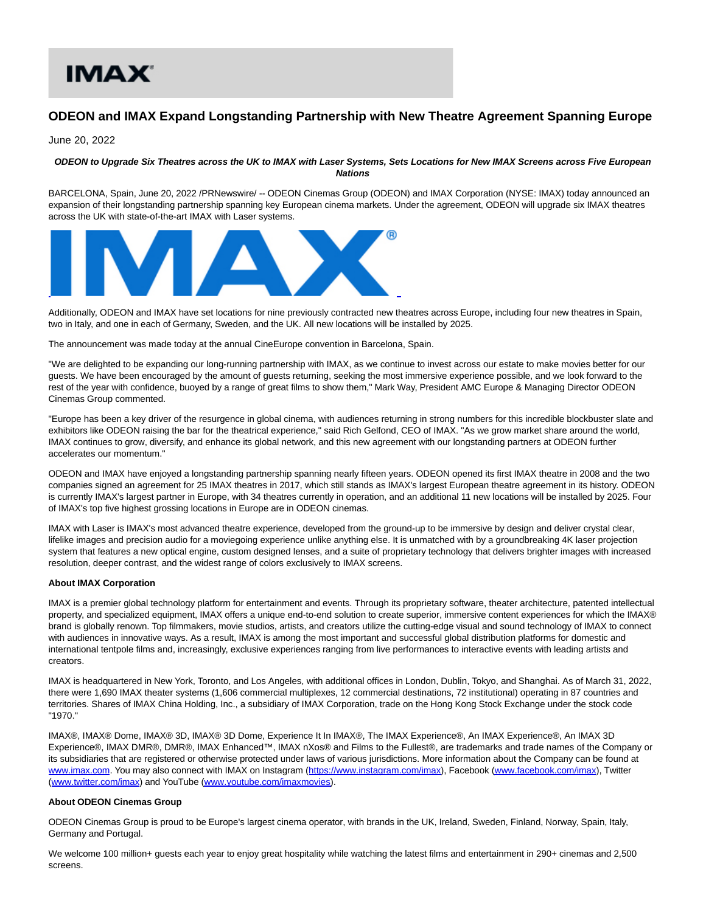# IMAX'

## **ODEON and IMAX Expand Longstanding Partnership with New Theatre Agreement Spanning Europe**

June 20, 2022

#### **ODEON to Upgrade Six Theatres across the UK to IMAX with Laser Systems, Sets Locations for New IMAX Screens across Five European Nations**

BARCELONA, Spain, June 20, 2022 /PRNewswire/ -- ODEON Cinemas Group (ODEON) and IMAX Corporation (NYSE: IMAX) today announced an expansion of their longstanding partnership spanning key European cinema markets. Under the agreement, ODEON will upgrade six IMAX theatres across the UK with state-of-the-art IMAX with Laser systems.



Additionally, ODEON and IMAX have set locations for nine previously contracted new theatres across Europe, including four new theatres in Spain, two in Italy, and one in each of Germany, Sweden, and the UK. All new locations will be installed by 2025.

The announcement was made today at the annual CineEurope convention in Barcelona, Spain.

"We are delighted to be expanding our long-running partnership with IMAX, as we continue to invest across our estate to make movies better for our guests. We have been encouraged by the amount of guests returning, seeking the most immersive experience possible, and we look forward to the rest of the year with confidence, buoyed by a range of great films to show them," Mark Way, President AMC Europe & Managing Director ODEON Cinemas Group commented.

"Europe has been a key driver of the resurgence in global cinema, with audiences returning in strong numbers for this incredible blockbuster slate and exhibitors like ODEON raising the bar for the theatrical experience," said Rich Gelfond, CEO of IMAX. "As we grow market share around the world, IMAX continues to grow, diversify, and enhance its global network, and this new agreement with our longstanding partners at ODEON further accelerates our momentum."

ODEON and IMAX have enjoyed a longstanding partnership spanning nearly fifteen years. ODEON opened its first IMAX theatre in 2008 and the two companies signed an agreement for 25 IMAX theatres in 2017, which still stands as IMAX's largest European theatre agreement in its history. ODEON is currently IMAX's largest partner in Europe, with 34 theatres currently in operation, and an additional 11 new locations will be installed by 2025. Four of IMAX's top five highest grossing locations in Europe are in ODEON cinemas.

IMAX with Laser is IMAX's most advanced theatre experience, developed from the ground-up to be immersive by design and deliver crystal clear, lifelike images and precision audio for a moviegoing experience unlike anything else. It is unmatched with by a groundbreaking 4K laser projection system that features a new optical engine, custom designed lenses, and a suite of proprietary technology that delivers brighter images with increased resolution, deeper contrast, and the widest range of colors exclusively to IMAX screens.

#### **About IMAX Corporation**

IMAX is a premier global technology platform for entertainment and events. Through its proprietary software, theater architecture, patented intellectual property, and specialized equipment, IMAX offers a unique end-to-end solution to create superior, immersive content experiences for which the IMAX® brand is globally renown. Top filmmakers, movie studios, artists, and creators utilize the cutting-edge visual and sound technology of IMAX to connect with audiences in innovative ways. As a result, IMAX is among the most important and successful global distribution platforms for domestic and international tentpole films and, increasingly, exclusive experiences ranging from live performances to interactive events with leading artists and creators.

IMAX is headquartered in New York, Toronto, and Los Angeles, with additional offices in London, Dublin, Tokyo, and Shanghai. As of March 31, 2022, there were 1,690 IMAX theater systems (1,606 commercial multiplexes, 12 commercial destinations, 72 institutional) operating in 87 countries and territories. Shares of IMAX China Holding, Inc., a subsidiary of IMAX Corporation, trade on the Hong Kong Stock Exchange under the stock code "1970."

IMAX®, IMAX® Dome, IMAX® 3D, IMAX® 3D Dome, Experience It In IMAX®, The IMAX Experience®, An IMAX Experience®, An IMAX 3D Experience®, IMAX DMR®, DMR®, IMAX Enhanced™, IMAX nXos® and Films to the Fullest®, are trademarks and trade names of the Company or its subsidiaries that are registered or otherwise protected under laws of various jurisdictions. More information about the Company can be found at [www.imax.com.](https://c212.net/c/link/?t=0&l=en&o=3571951-1&h=2543165096&u=http%3A%2F%2Fwww.imax.com%2F&a=www.imax.com) You may also connect with IMAX on Instagram [\(https://www.instagram.com/imax\),](https://c212.net/c/link/?t=0&l=en&o=3571951-1&h=3533441272&u=https%3A%2F%2Fwww.instagram.com%2Fimax&a=https%3A%2F%2Fwww.instagram.com%2Fimax) Facebook [\(www.facebook.com/imax\),](https://c212.net/c/link/?t=0&l=en&o=3571951-1&h=4077426665&u=http%3A%2F%2Fwww.facebook.com%2Fimax&a=www.facebook.com%2Fimax) Twitter [\(www.twitter.com/imax\)](https://c212.net/c/link/?t=0&l=en&o=3571951-1&h=2974443402&u=http%3A%2F%2Fwww.twitter.com%2Fimax&a=www.twitter.com%2Fimax) and YouTube [\(www.youtube.com/imaxmovies\).](https://c212.net/c/link/?t=0&l=en&o=3571951-1&h=4143249513&u=http%3A%2F%2Fwww.youtube.com%2Fimaxmovies&a=www.youtube.com%2Fimaxmovies)

#### **About ODEON Cinemas Group**

ODEON Cinemas Group is proud to be Europe's largest cinema operator, with brands in the UK, Ireland, Sweden, Finland, Norway, Spain, Italy, Germany and Portugal.

We welcome 100 million+ guests each year to enjoy great hospitality while watching the latest films and entertainment in 290+ cinemas and 2,500 screens.